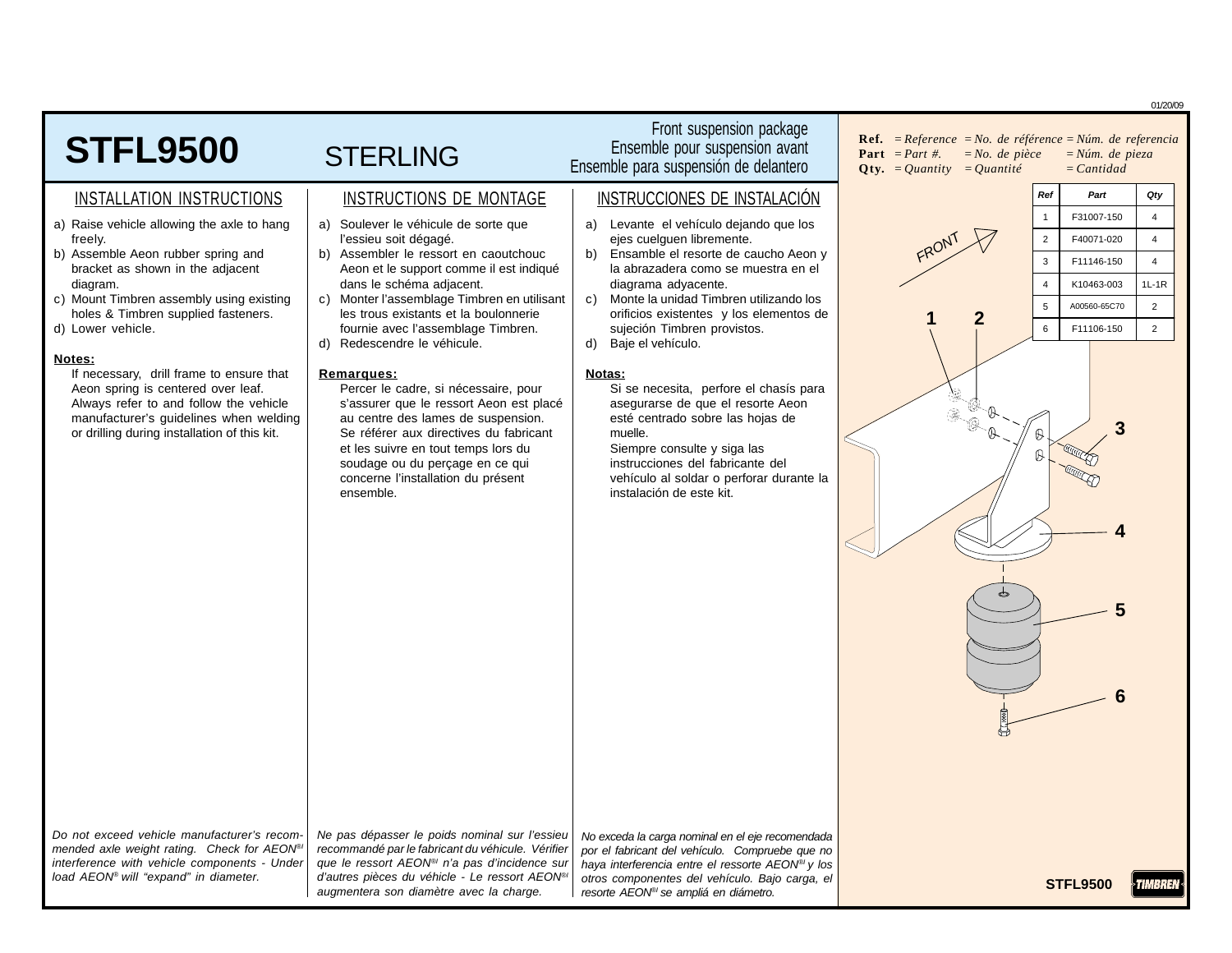|                                                                                                                                                                                                                                                                                                                                                                                                                                                                                                                                    |                                                                                                                                                                                                                                                                                                                                                                                                                                                                                                                                                                                                                                                                                                           |                                                                                                                                                                                                                                                                                                                                                                                                                                                                                                                                                                                                                         | 01/20/09                                                                                                                                                                                                                                                                                                                     |
|------------------------------------------------------------------------------------------------------------------------------------------------------------------------------------------------------------------------------------------------------------------------------------------------------------------------------------------------------------------------------------------------------------------------------------------------------------------------------------------------------------------------------------|-----------------------------------------------------------------------------------------------------------------------------------------------------------------------------------------------------------------------------------------------------------------------------------------------------------------------------------------------------------------------------------------------------------------------------------------------------------------------------------------------------------------------------------------------------------------------------------------------------------------------------------------------------------------------------------------------------------|-------------------------------------------------------------------------------------------------------------------------------------------------------------------------------------------------------------------------------------------------------------------------------------------------------------------------------------------------------------------------------------------------------------------------------------------------------------------------------------------------------------------------------------------------------------------------------------------------------------------------|------------------------------------------------------------------------------------------------------------------------------------------------------------------------------------------------------------------------------------------------------------------------------------------------------------------------------|
| <b>STFL9500</b>                                                                                                                                                                                                                                                                                                                                                                                                                                                                                                                    | <b>STERLING</b>                                                                                                                                                                                                                                                                                                                                                                                                                                                                                                                                                                                                                                                                                           | Front suspension package<br>Ensemble pour suspension avant<br>Ensemble para suspensión de delantero                                                                                                                                                                                                                                                                                                                                                                                                                                                                                                                     | <b>Ref.</b> = $Reference = No.$ de référence = $Núm.$ de referencia<br><b>Part</b> $= Part \#$ .<br>$= No.$ de pièce<br>$=N$ úm. de pieza<br>$Qty. = Quantity = Quantité$<br>$=$ <i>Cantidad</i>                                                                                                                             |
| INSTALLATION INSTRUCTIONS                                                                                                                                                                                                                                                                                                                                                                                                                                                                                                          | INSTRUCTIONS DE MONTAGE                                                                                                                                                                                                                                                                                                                                                                                                                                                                                                                                                                                                                                                                                   | INSTRUCCIONES DE INSTALACIÓN                                                                                                                                                                                                                                                                                                                                                                                                                                                                                                                                                                                            | Qty<br>Ref<br>Part                                                                                                                                                                                                                                                                                                           |
| a) Raise vehicle allowing the axle to hang<br>freely.<br>b) Assemble Aeon rubber spring and<br>bracket as shown in the adjacent<br>diagram.<br>c) Mount Timbren assembly using existing<br>holes & Timbren supplied fasteners.<br>d) Lower vehicle.<br>Notes:<br>If necessary, drill frame to ensure that<br>Aeon spring is centered over leaf.<br>Always refer to and follow the vehicle<br>manufacturer's guidelines when welding<br>or drilling during installation of this kit.<br>Do not exceed vehicle manufacturer's recom- | a) Soulever le véhicule de sorte que<br>l'essieu soit dégagé.<br>b) Assembler le ressort en caoutchouc<br>Aeon et le support comme il est indiqué<br>dans le schéma adjacent.<br>c) Monter l'assemblage Timbren en utilisant<br>les trous existants et la boulonnerie<br>fournie avec l'assemblage Timbren.<br>d) Redescendre le véhicule.<br>Remarques:<br>Percer le cadre, si nécessaire, pour<br>s'assurer que le ressort Aeon est placé<br>au centre des lames de suspension.<br>Se référer aux directives du fabricant<br>et les suivre en tout temps lors du<br>soudage ou du perçage en ce qui<br>concerne l'installation du présent<br>ensemble.<br>Ne pas dépasser le poids nominal sur l'essieu | a) Levante el vehículo dejando que los<br>ejes cuelguen libremente.<br>b)<br>Ensamble el resorte de caucho Aeon y<br>la abrazadera como se muestra en el<br>diagrama adyacente.<br>Monte la unidad Timbren utilizando los<br>C)<br>orificios existentes y los elementos de<br>sujeción Timbren provistos.<br>Baje el vehículo.<br>d)<br>Notas:<br>Si se necesita, perfore el chasís para<br>asegurarse de que el resorte Aeon<br>esté centrado sobre las hojas de<br>muelle.<br>Siempre consulte y siga las<br>instrucciones del fabricante del<br>vehículo al soldar o perforar durante la<br>instalación de este kit. | F31007-150<br>$\overline{4}$<br>$\overline{1}$<br>$\overline{4}$<br>$\overline{2}$<br>F40071-020<br>$\overline{4}$<br>F11146-150<br>3<br>$1L-1R$<br>K10463-003<br>$\overline{\mathbf{4}}$<br>$\overline{2}$<br>5<br>A00560-65C70<br>2<br>$\overline{2}$<br>F11106-150<br>$\,6\,$<br>a a<br>3<br>$\mathbb{B}$<br>$\mathbb{R}$ |
| mended axle weight rating. Check for AEON®<br>interference with vehicle components - Under<br>load AEON® will "expand" in diameter.                                                                                                                                                                                                                                                                                                                                                                                                | recommandé par le fabricant du véhicule. Vérifier<br>que le ressort AEON <sup>®</sup> n'a pas d'incidence sur<br>d'autres pièces du véhicle - Le ressort AEON®                                                                                                                                                                                                                                                                                                                                                                                                                                                                                                                                            | No exceda la carga nominal en el eje recomendada<br>por el fabricant del vehículo. Compruebe que no<br>haya interferencia entre el ressorte AEON <sup>®</sup> y los<br>otros componentes del vehículo. Bajo carga, el                                                                                                                                                                                                                                                                                                                                                                                                   | <b>CTEL OFON</b>                                                                                                                                                                                                                                                                                                             |

resorte AEON<sup>®</sup> se ampliá en diámetro.

augmentera son diamètre avec la charge.

STFL9500 TIMBREN